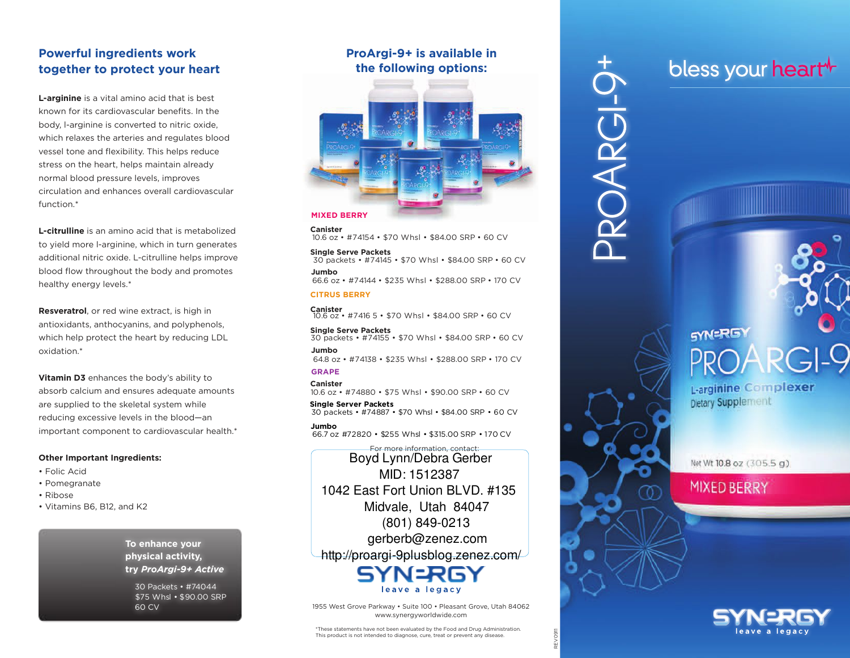## **Powerful ingredients work together to protect your heart**

**L-arginine** is a vital amino acid that is best known for its cardiovascular benefits. In the body, l-arginine is converted to nitric oxide, which relaxes the arteries and regulates blood vessel tone and flexibility. This helps reduce stress on the heart, helps maintain already normal blood pressure levels, improves circulation and enhances overall cardiovascular function.\*

**L-citrulline** is an amino acid that is metabolized to yield more l-arginine, which in turn generates additional nitric oxide. L-citrulline helps improve blood flow throughout the body and promotes healthy energy levels.\*

**Resveratrol**, or red wine extract, is high in antioxidants, anthocyanins, and polyphenols, which help protect the heart by reducing LDL oxidation.\*

**Vitamin D3** enhances the body's ability to absorb calcium and ensures adequate amounts are supplied to the skeletal system while reducing excessive levels in the blood—an important component to cardiovascular health.\*

#### **Other Important Ingredients:**

- Folic Acid
- Pomegranate
- Ribose
- Vitamins B6, B12, and K2

**To enhance your physical activity, try** *ProArgi-9+ Active*

30 Packets • #74044 \$75 Whsl • \$90.00 SRP 60 CV

### **ProArgi-9+ is available in the following options:**



#### **MIXED BERRY**

**Canister** 10.6 oz • #74154 • \$70 Whsl • \$84.00 SRP • <sup>60</sup> CV

**Single Serve Packets** <sup>30</sup> packets • #74145 • \$70 Whsl • \$84.00 SRP • <sup>60</sup> CV **Jumbo** 66.6 oz • #74144 • \$235 Whsl • \$288.00 SRP • 170 CV

#### **CITRUS BERRY**

**Canister** 10.6 oz • #7416 <sup>5</sup> • \$70 Whsl • \$84.00 SRP • <sup>60</sup> CV

**Single Serve Packets** <sup>30</sup> packets • #74155 • \$70 Whsl • \$84.00 SRP • <sup>60</sup> CV **Jumbo**

64.8 oz • #74138 • \$235 Whsl • \$288.00 SRP • 170 CV **GRAPE**

**Canister** 10.6 oz • #74880 • \$75 Whsl • \$90.00 SRP • 60 CV

**Single Server Packets** 30 packets • #74887 • \$70 Whsl • \$84.00 SRP • 60 CV

**Jumbo** 66.7 oz #72820 • \$255 Whsl • \$315.00 SRP • 170 CV

For more information, contact: Boyd Lynn/Debra Gerber MID: 1512387 1042 East Fort Union BLVD. #135 Midvale, Utah 84047 (801) 849-0213 gerberb@zenez.com http://proargi-9plusblog.zenez.com/

1955 West Grove Parkway • Suite 100 • Pleasant Grove, Utah 84062 www.synergyworldwide.com

leave a legacy

REV0911

ROARG

## bless your heart<sup>+</sup>

# **SYN=RGY**

L-arginine Complexer Dietary Supplement

Net Wt 10.8 oz (305.5 g)

## MIXED BERRY